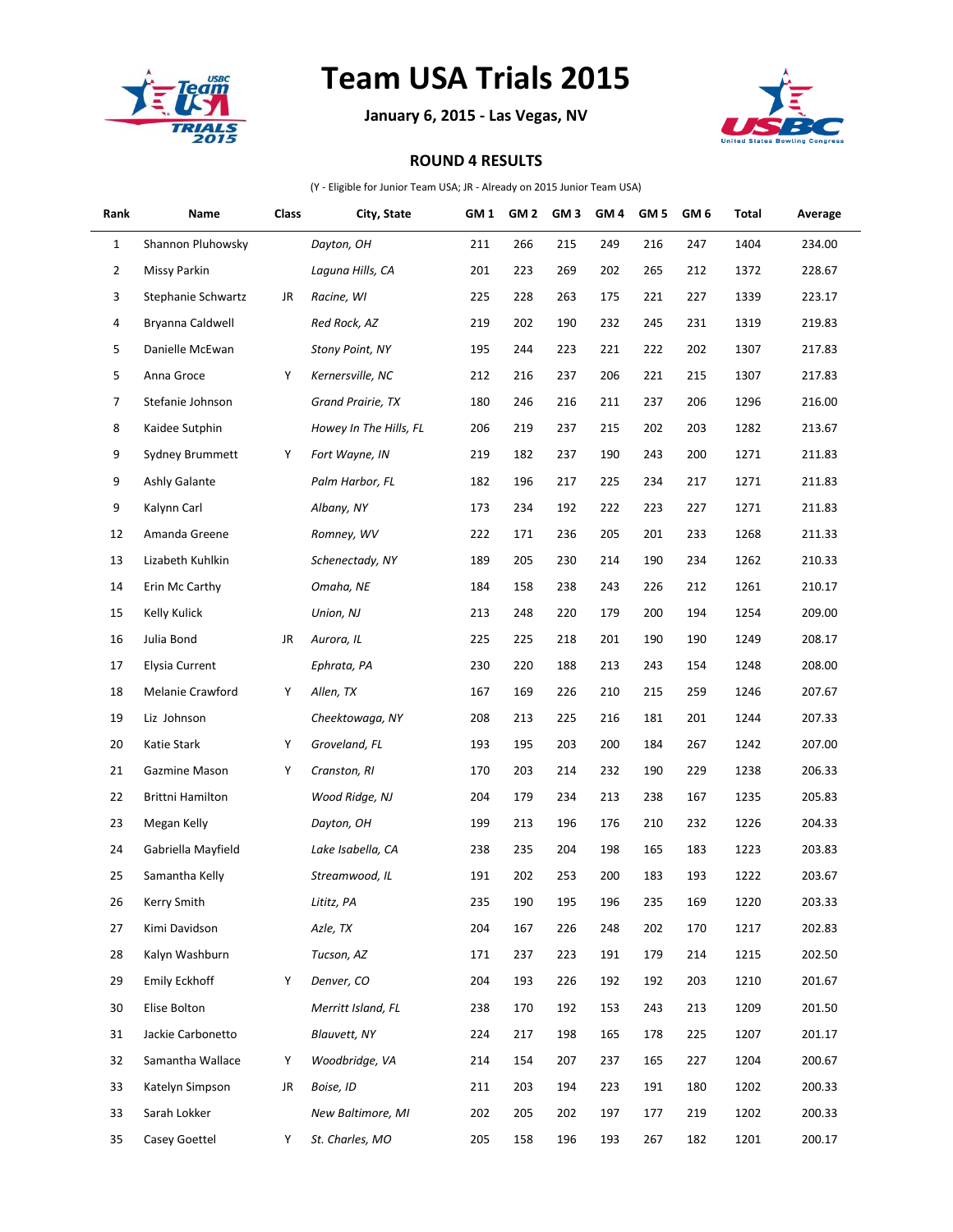

## **Team USA Trials 2015**

**January 6, 2015 - Las Vegas, NV**



## **ROUND 4 RESULTS**

(Y - Eligible for Junior Team USA; JR - Already on 2015 Junior Team USA)

| Rank | Name                  | Class | City, State            | GM <sub>1</sub> | GM <sub>2</sub> | GM <sub>3</sub> | GM <sub>4</sub> | GM <sub>5</sub> | GM <sub>6</sub> | Total | Average |
|------|-----------------------|-------|------------------------|-----------------|-----------------|-----------------|-----------------|-----------------|-----------------|-------|---------|
| 1    | Shannon Pluhowsky     |       | Dayton, OH             | 211             | 266             | 215             | 249             | 216             | 247             | 1404  | 234.00  |
| 2    | Missy Parkin          |       | Laguna Hills, CA       | 201             | 223             | 269             | 202             | 265             | 212             | 1372  | 228.67  |
| 3    | Stephanie Schwartz    | JR    | Racine, WI             | 225             | 228             | 263             | 175             | 221             | 227             | 1339  | 223.17  |
| 4    | Bryanna Caldwell      |       | Red Rock, AZ           | 219             | 202             | 190             | 232             | 245             | 231             | 1319  | 219.83  |
| 5    | Danielle McEwan       |       | <b>Stony Point, NY</b> | 195             | 244             | 223             | 221             | 222             | 202             | 1307  | 217.83  |
| 5    | Anna Groce            | Υ     | Kernersville, NC       | 212             | 216             | 237             | 206             | 221             | 215             | 1307  | 217.83  |
| 7    | Stefanie Johnson      |       | Grand Prairie, TX      | 180             | 246             | 216             | 211             | 237             | 206             | 1296  | 216.00  |
| 8    | Kaidee Sutphin        |       | Howey In The Hills, FL | 206             | 219             | 237             | 215             | 202             | 203             | 1282  | 213.67  |
| 9    | Sydney Brummett       | Υ     | Fort Wayne, IN         | 219             | 182             | 237             | 190             | 243             | 200             | 1271  | 211.83  |
| 9    | Ashly Galante         |       | Palm Harbor, FL        | 182             | 196             | 217             | 225             | 234             | 217             | 1271  | 211.83  |
| 9    | Kalynn Carl           |       | Albany, NY             | 173             | 234             | 192             | 222             | 223             | 227             | 1271  | 211.83  |
| 12   | Amanda Greene         |       | Romney, WV             | 222             | 171             | 236             | 205             | 201             | 233             | 1268  | 211.33  |
| 13   | Lizabeth Kuhlkin      |       | Schenectady, NY        | 189             | 205             | 230             | 214             | 190             | 234             | 1262  | 210.33  |
| 14   | Erin Mc Carthy        |       | Omaha, NE              | 184             | 158             | 238             | 243             | 226             | 212             | 1261  | 210.17  |
| 15   | Kelly Kulick          |       | Union, NJ              | 213             | 248             | 220             | 179             | 200             | 194             | 1254  | 209.00  |
| 16   | Julia Bond            | JR    | Aurora, IL             | 225             | 225             | 218             | 201             | 190             | 190             | 1249  | 208.17  |
| 17   | <b>Elysia Current</b> |       | Ephrata, PA            | 230             | 220             | 188             | 213             | 243             | 154             | 1248  | 208.00  |
| 18   | Melanie Crawford      | Υ     | Allen, TX              | 167             | 169             | 226             | 210             | 215             | 259             | 1246  | 207.67  |
| 19   | Liz Johnson           |       | Cheektowaga, NY        | 208             | 213             | 225             | 216             | 181             | 201             | 1244  | 207.33  |
| 20   | Katie Stark           | Υ     | Groveland, FL          | 193             | 195             | 203             | 200             | 184             | 267             | 1242  | 207.00  |
| 21   | Gazmine Mason         | Υ     | Cranston, RI           | 170             | 203             | 214             | 232             | 190             | 229             | 1238  | 206.33  |
| 22   | Brittni Hamilton      |       | Wood Ridge, NJ         | 204             | 179             | 234             | 213             | 238             | 167             | 1235  | 205.83  |
| 23   | Megan Kelly           |       | Dayton, OH             | 199             | 213             | 196             | 176             | 210             | 232             | 1226  | 204.33  |
| 24   | Gabriella Mayfield    |       | Lake Isabella, CA      | 238             | 235             | 204             | 198             | 165             | 183             | 1223  | 203.83  |
| 25   | Samantha Kelly        |       | Streamwood, IL         | 191             | 202             | 253             | 200             | 183             | 193             | 1222  | 203.67  |
| 26   | Kerry Smith           |       | Lititz, PA             | 235             | 190             | 195             | 196             | 235             | 169             | 1220  | 203.33  |
| 27   | Kimi Davidson         |       | Azle, TX               | 204             | 167             | 226             | 248             | 202             | 170             | 1217  | 202.83  |
| 28   | Kalyn Washburn        |       | Tucson, AZ             | 171             | 237             | 223             | 191             | 179             | 214             | 1215  | 202.50  |
| 29   | Emily Eckhoff         | Υ     | Denver, CO             | 204             | 193             | 226             | 192             | 192             | 203             | 1210  | 201.67  |
| 30   | Elise Bolton          |       | Merritt Island, FL     | 238             | 170             | 192             | 153             | 243             | 213             | 1209  | 201.50  |
| 31   | Jackie Carbonetto     |       | <b>Blauvett, NY</b>    | 224             | 217             | 198             | 165             | 178             | 225             | 1207  | 201.17  |
| 32   | Samantha Wallace      | Υ     | Woodbridge, VA         | 214             | 154             | 207             | 237             | 165             | 227             | 1204  | 200.67  |
| 33   | Katelyn Simpson       | JR    | Boise, ID              | 211             | 203             | 194             | 223             | 191             | 180             | 1202  | 200.33  |
| 33   | Sarah Lokker          |       | New Baltimore, MI      | 202             | 205             | 202             | 197             | 177             | 219             | 1202  | 200.33  |
| 35   | Casey Goettel         | Υ     | St. Charles, MO        | 205             | 158             | 196             | 193             | 267             | 182             | 1201  | 200.17  |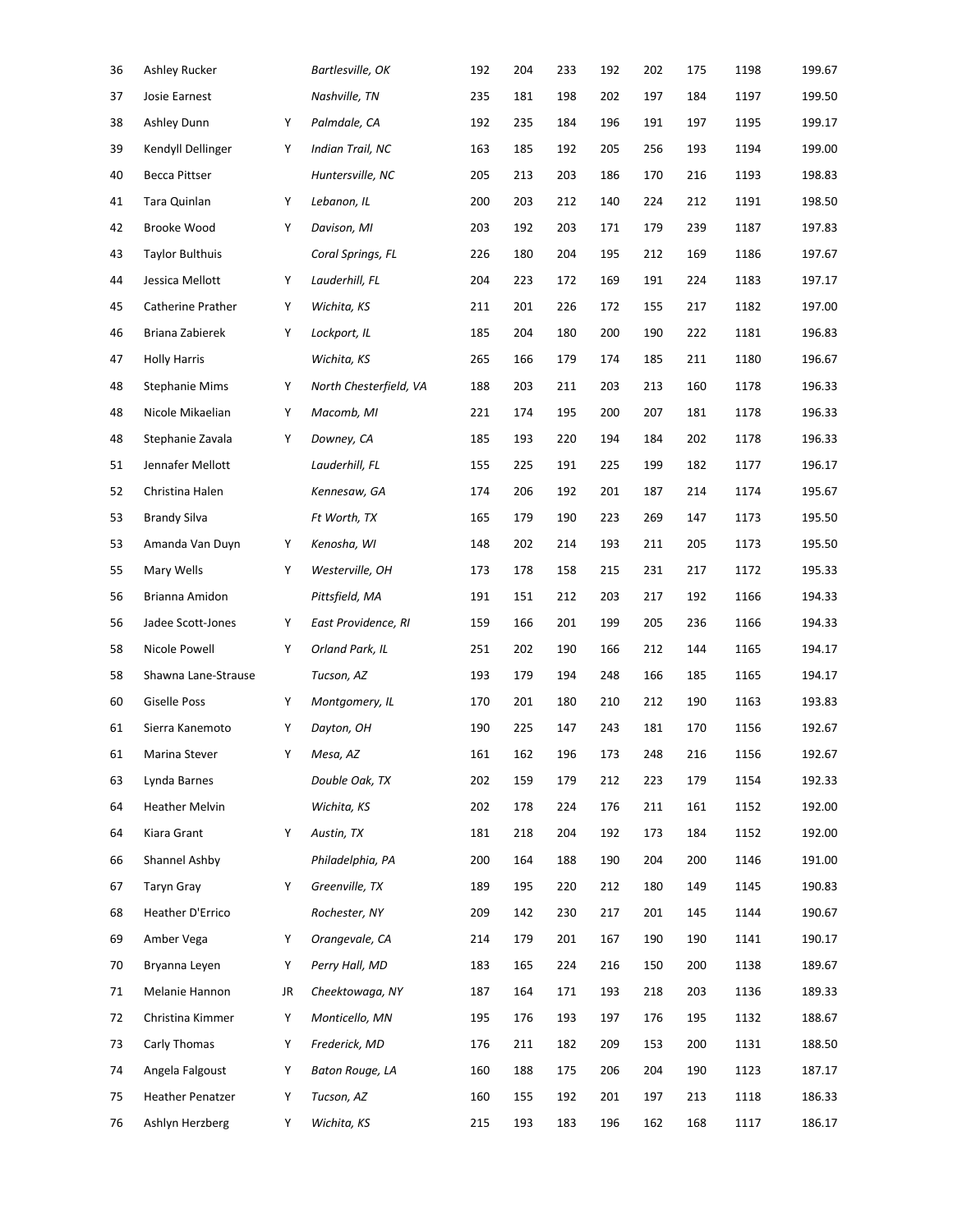| 36 | Ashley Rucker           |    | Bartlesville, OK       | 192 | 204 | 233 | 192 | 202 | 175 | 1198 | 199.67 |
|----|-------------------------|----|------------------------|-----|-----|-----|-----|-----|-----|------|--------|
| 37 | Josie Earnest           |    | Nashville, TN          | 235 | 181 | 198 | 202 | 197 | 184 | 1197 | 199.50 |
| 38 | Ashley Dunn             | Υ  | Palmdale, CA           | 192 | 235 | 184 | 196 | 191 | 197 | 1195 | 199.17 |
| 39 | Kendyll Dellinger       | Υ  | Indian Trail, NC       | 163 | 185 | 192 | 205 | 256 | 193 | 1194 | 199.00 |
| 40 | <b>Becca Pittser</b>    |    | Huntersville, NC       | 205 | 213 | 203 | 186 | 170 | 216 | 1193 | 198.83 |
| 41 | Tara Quinlan            | Υ  | Lebanon, IL            | 200 | 203 | 212 | 140 | 224 | 212 | 1191 | 198.50 |
| 42 | Brooke Wood             | Υ  | Davison, MI            | 203 | 192 | 203 | 171 | 179 | 239 | 1187 | 197.83 |
| 43 | <b>Taylor Bulthuis</b>  |    | Coral Springs, FL      | 226 | 180 | 204 | 195 | 212 | 169 | 1186 | 197.67 |
| 44 | Jessica Mellott         | Υ  | Lauderhill, FL         | 204 | 223 | 172 | 169 | 191 | 224 | 1183 | 197.17 |
| 45 | Catherine Prather       | Υ  | Wichita, KS            | 211 | 201 | 226 | 172 | 155 | 217 | 1182 | 197.00 |
| 46 | Briana Zabierek         | Υ  | Lockport, IL           | 185 | 204 | 180 | 200 | 190 | 222 | 1181 | 196.83 |
| 47 | <b>Holly Harris</b>     |    | Wichita, KS            | 265 | 166 | 179 | 174 | 185 | 211 | 1180 | 196.67 |
| 48 | <b>Stephanie Mims</b>   | Υ  | North Chesterfield, VA | 188 | 203 | 211 | 203 | 213 | 160 | 1178 | 196.33 |
| 48 | Nicole Mikaelian        | Υ  | Macomb, MI             | 221 | 174 | 195 | 200 | 207 | 181 | 1178 | 196.33 |
| 48 | Stephanie Zavala        | Υ  | Downey, CA             | 185 | 193 | 220 | 194 | 184 | 202 | 1178 | 196.33 |
| 51 | Jennafer Mellott        |    | Lauderhill, FL         | 155 | 225 | 191 | 225 | 199 | 182 | 1177 | 196.17 |
| 52 | Christina Halen         |    | Kennesaw, GA           | 174 | 206 | 192 | 201 | 187 | 214 | 1174 | 195.67 |
| 53 | <b>Brandy Silva</b>     |    | Ft Worth, TX           | 165 | 179 | 190 | 223 | 269 | 147 | 1173 | 195.50 |
| 53 | Amanda Van Duyn         | Υ  | Kenosha, WI            | 148 | 202 | 214 | 193 | 211 | 205 | 1173 | 195.50 |
| 55 | Mary Wells              | Υ  | Westerville, OH        | 173 | 178 | 158 | 215 | 231 | 217 | 1172 | 195.33 |
| 56 | Brianna Amidon          |    | Pittsfield, MA         | 191 | 151 | 212 | 203 | 217 | 192 | 1166 | 194.33 |
| 56 | Jadee Scott-Jones       | Υ  | East Providence, RI    | 159 | 166 | 201 | 199 | 205 | 236 | 1166 | 194.33 |
| 58 | Nicole Powell           | Υ  | Orland Park, IL        | 251 | 202 | 190 | 166 | 212 | 144 | 1165 | 194.17 |
| 58 | Shawna Lane-Strause     |    | Tucson, AZ             | 193 | 179 | 194 | 248 | 166 | 185 | 1165 | 194.17 |
| 60 | <b>Giselle Poss</b>     | Υ  | Montgomery, IL         | 170 | 201 | 180 | 210 | 212 | 190 | 1163 | 193.83 |
| 61 | Sierra Kanemoto         | Υ  | Dayton, OH             | 190 | 225 | 147 | 243 | 181 | 170 | 1156 | 192.67 |
| 61 | Marina Stever           | Y  | Mesa, AZ               | 161 | 162 | 196 | 173 | 248 | 216 | 1156 | 192.67 |
| 63 | Lynda Barnes            |    | Double Oak, TX         | 202 | 159 | 179 | 212 | 223 | 179 | 1154 | 192.33 |
| 64 | <b>Heather Melvin</b>   |    | Wichita, KS            | 202 | 178 | 224 | 176 | 211 | 161 | 1152 | 192.00 |
| 64 | Kiara Grant             | Υ  | Austin, TX             | 181 | 218 | 204 | 192 | 173 | 184 | 1152 | 192.00 |
| 66 | Shannel Ashby           |    | Philadelphia, PA       | 200 | 164 | 188 | 190 | 204 | 200 | 1146 | 191.00 |
| 67 | <b>Taryn Gray</b>       | Υ  | Greenville, TX         | 189 | 195 | 220 | 212 | 180 | 149 | 1145 | 190.83 |
| 68 | Heather D'Errico        |    | Rochester, NY          | 209 | 142 | 230 | 217 | 201 | 145 | 1144 | 190.67 |
| 69 | Amber Vega              | Υ  | Orangevale, CA         | 214 | 179 | 201 | 167 | 190 | 190 | 1141 | 190.17 |
| 70 | Bryanna Leyen           | Υ  | Perry Hall, MD         | 183 | 165 | 224 | 216 | 150 | 200 | 1138 | 189.67 |
| 71 | Melanie Hannon          | JR | Cheektowaga, NY        | 187 | 164 | 171 | 193 | 218 | 203 | 1136 | 189.33 |
| 72 | Christina Kimmer        | Υ  | Monticello, MN         | 195 | 176 | 193 | 197 | 176 | 195 | 1132 | 188.67 |
| 73 | Carly Thomas            | Υ  | Frederick, MD          | 176 | 211 | 182 | 209 | 153 | 200 | 1131 | 188.50 |
| 74 | Angela Falgoust         | Υ  | Baton Rouge, LA        | 160 | 188 | 175 | 206 | 204 | 190 | 1123 | 187.17 |
| 75 | <b>Heather Penatzer</b> | Υ  | Tucson, AZ             | 160 | 155 | 192 | 201 | 197 | 213 | 1118 | 186.33 |
| 76 | Ashlyn Herzberg         | Υ  | Wichita, KS            | 215 | 193 | 183 | 196 | 162 | 168 | 1117 | 186.17 |
|    |                         |    |                        |     |     |     |     |     |     |      |        |